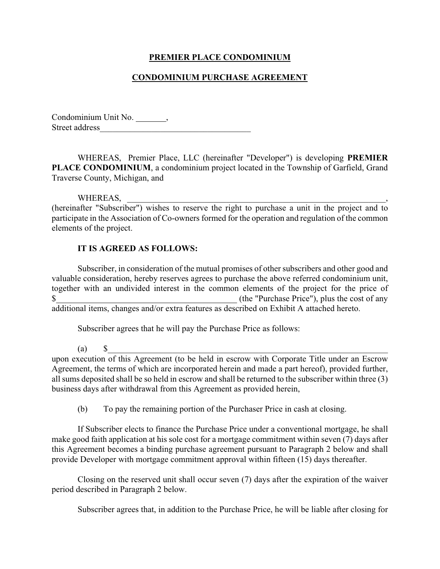# **PREMIER PLACE CONDOMINIUM**

# **CONDOMINIUM PURCHASE AGREEMENT**

Condominium Unit No., Street address

WHEREAS, Premier Place, LLC (hereinafter "Developer") is developing **PREMIER PLACE CONDOMINIUM**, a condominium project located in the Township of Garfield, Grand Traverse County, Michigan, and

WHEREAS, \_\_\_\_\_\_\_\_\_\_\_\_\_\_\_\_\_\_\_\_\_\_\_\_\_\_\_\_\_\_\_\_\_\_\_\_\_\_\_\_\_\_\_\_\_\_\_\_\_\_\_\_\_\_\_\_\_\_\_\_,

(hereinafter "Subscriber") wishes to reserve the right to purchase a unit in the project and to participate in the Association of Co-owners formed for the operation and regulation of the common elements of the project.

## **IT IS AGREED AS FOLLOWS:**

Subscriber, in consideration of the mutual promises of other subscribers and other good and valuable consideration, hereby reserves agrees to purchase the above referred condominium unit, together with an undivided interest in the common elements of the project for the price of \$ (the "Purchase Price"), plus the cost of any additional items, changes and/or extra features as described on Exhibit A attached hereto.

Subscriber agrees that he will pay the Purchase Price as follows:

(a)  $\qquad \$ 

upon execution of this Agreement (to be held in escrow with Corporate Title under an Escrow Agreement, the terms of which are incorporated herein and made a part hereof), provided further, all sums deposited shall be so held in escrow and shall be returned to the subscriber within three (3) business days after withdrawal from this Agreement as provided herein,

(b) To pay the remaining portion of the Purchaser Price in cash at closing.

If Subscriber elects to finance the Purchase Price under a conventional mortgage, he shall make good faith application at his sole cost for a mortgage commitment within seven (7) days after this Agreement becomes a binding purchase agreement pursuant to Paragraph 2 below and shall provide Developer with mortgage commitment approval within fifteen (15) days thereafter.

Closing on the reserved unit shall occur seven (7) days after the expiration of the waiver period described in Paragraph 2 below.

Subscriber agrees that, in addition to the Purchase Price, he will be liable after closing for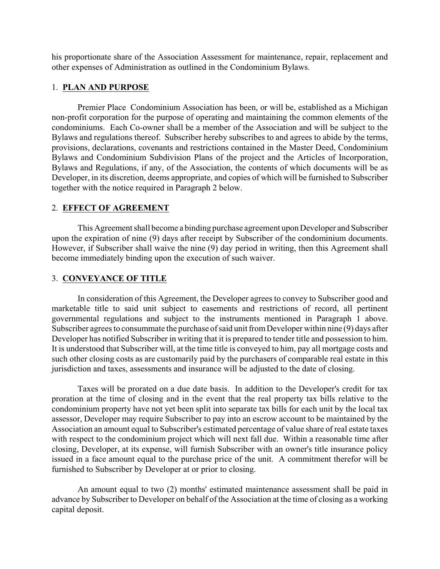his proportionate share of the Association Assessment for maintenance, repair, replacement and other expenses of Administration as outlined in the Condominium Bylaws.

### 1. **PLAN AND PURPOSE**

Premier Place Condominium Association has been, or will be, established as a Michigan non-profit corporation for the purpose of operating and maintaining the common elements of the condominiums. Each Co-owner shall be a member of the Association and will be subject to the Bylaws and regulations thereof. Subscriber hereby subscribes to and agrees to abide by the terms, provisions, declarations, covenants and restrictions contained in the Master Deed, Condominium Bylaws and Condominium Subdivision Plans of the project and the Articles of Incorporation, Bylaws and Regulations, if any, of the Association, the contents of which documents will be as Developer, in its discretion, deems appropriate, and copies of which will be furnished to Subscriber together with the notice required in Paragraph 2 below.

#### 2. **EFFECT OF AGREEMENT**

This Agreement shall become a binding purchase agreement upon Developer and Subscriber upon the expiration of nine (9) days after receipt by Subscriber of the condominium documents. However, if Subscriber shall waive the nine (9) day period in writing, then this Agreement shall become immediately binding upon the execution of such waiver.

### 3. **CONVEYANCE OF TITLE**

In consideration of this Agreement, the Developer agrees to convey to Subscriber good and marketable title to said unit subject to easements and restrictions of record, all pertinent governmental regulations and subject to the instruments mentioned in Paragraph 1 above. Subscriber agrees to consummate the purchase of said unit from Developer within nine (9) days after Developer has notified Subscriber in writing that it is prepared to tender title and possession to him. It is understood that Subscriber will, at the time title is conveyed to him, pay all mortgage costs and such other closing costs as are customarily paid by the purchasers of comparable real estate in this jurisdiction and taxes, assessments and insurance will be adjusted to the date of closing.

Taxes will be prorated on a due date basis. In addition to the Developer's credit for tax proration at the time of closing and in the event that the real property tax bills relative to the condominium property have not yet been split into separate tax bills for each unit by the local tax assessor, Developer may require Subscriber to pay into an escrow account to be maintained by the Association an amount equal to Subscriber's estimated percentage of value share of real estate taxes with respect to the condominium project which will next fall due. Within a reasonable time after closing, Developer, at its expense, will furnish Subscriber with an owner's title insurance policy issued in a face amount equal to the purchase price of the unit. A commitment therefor will be furnished to Subscriber by Developer at or prior to closing.

An amount equal to two (2) months' estimated maintenance assessment shall be paid in advance by Subscriber to Developer on behalf of the Association at the time of closing as a working capital deposit.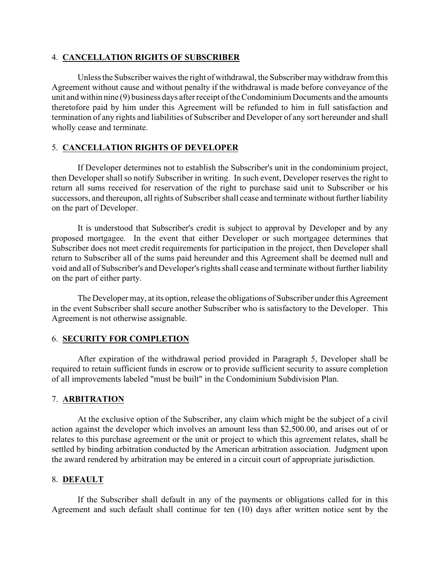#### 4. **CANCELLATION RIGHTS OF SUBSCRIBER**

Unless the Subscriber waives the right of withdrawal, the Subscriber may withdraw from this Agreement without cause and without penalty if the withdrawal is made before conveyance of the unit and within nine (9) business days after receipt of the Condominium Documents and the amounts theretofore paid by him under this Agreement will be refunded to him in full satisfaction and termination of any rights and liabilities of Subscriber and Developer of any sort hereunder and shall wholly cease and terminate.

## 5. **CANCELLATION RIGHTS OF DEVELOPER**

If Developer determines not to establish the Subscriber's unit in the condominium project, then Developer shall so notify Subscriber in writing. In such event, Developer reserves the right to return all sums received for reservation of the right to purchase said unit to Subscriber or his successors, and thereupon, all rights of Subscriber shall cease and terminate without further liability on the part of Developer.

It is understood that Subscriber's credit is subject to approval by Developer and by any proposed mortgagee. In the event that either Developer or such mortgagee determines that Subscriber does not meet credit requirements for participation in the project, then Developer shall return to Subscriber all of the sums paid hereunder and this Agreement shall be deemed null and void and all of Subscriber's and Developer's rights shall cease and terminate without further liability on the part of either party.

The Developer may, at its option, release the obligations of Subscriber under this Agreement in the event Subscriber shall secure another Subscriber who is satisfactory to the Developer. This Agreement is not otherwise assignable.

### 6. **SECURITY FOR COMPLETION**

After expiration of the withdrawal period provided in Paragraph 5, Developer shall be required to retain sufficient funds in escrow or to provide sufficient security to assure completion of all improvements labeled "must be built" in the Condominium Subdivision Plan.

# 7. **ARBITRATION**

At the exclusive option of the Subscriber, any claim which might be the subject of a civil action against the developer which involves an amount less than \$2,500.00, and arises out of or relates to this purchase agreement or the unit or project to which this agreement relates, shall be settled by binding arbitration conducted by the American arbitration association. Judgment upon the award rendered by arbitration may be entered in a circuit court of appropriate jurisdiction.

### 8. **DEFAULT**

If the Subscriber shall default in any of the payments or obligations called for in this Agreement and such default shall continue for ten (10) days after written notice sent by the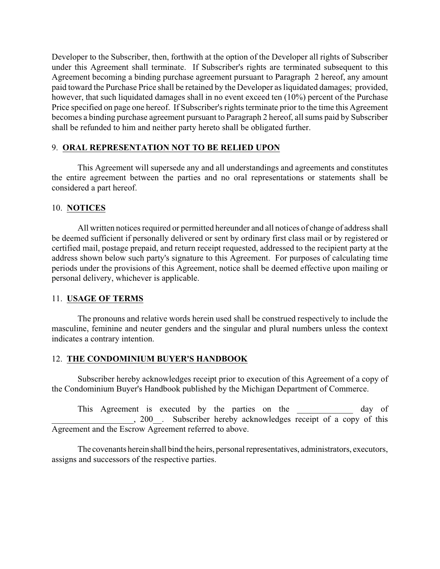Developer to the Subscriber, then, forthwith at the option of the Developer all rights of Subscriber under this Agreement shall terminate. If Subscriber's rights are terminated subsequent to this Agreement becoming a binding purchase agreement pursuant to Paragraph 2 hereof, any amount paid toward the Purchase Price shall be retained by the Developer as liquidated damages; provided, however, that such liquidated damages shall in no event exceed ten (10%) percent of the Purchase Price specified on page one hereof. If Subscriber's rights terminate prior to the time this Agreement becomes a binding purchase agreement pursuant to Paragraph 2 hereof, all sums paid by Subscriber shall be refunded to him and neither party hereto shall be obligated further.

## 9. **ORAL REPRESENTATION NOT TO BE RELIED UPON**

This Agreement will supersede any and all understandings and agreements and constitutes the entire agreement between the parties and no oral representations or statements shall be considered a part hereof.

## 10. **NOTICES**

All written notices required or permitted hereunder and all notices of change of address shall be deemed sufficient if personally delivered or sent by ordinary first class mail or by registered or certified mail, postage prepaid, and return receipt requested, addressed to the recipient party at the address shown below such party's signature to this Agreement. For purposes of calculating time periods under the provisions of this Agreement, notice shall be deemed effective upon mailing or personal delivery, whichever is applicable.

### 11. **USAGE OF TERMS**

The pronouns and relative words herein used shall be construed respectively to include the masculine, feminine and neuter genders and the singular and plural numbers unless the context indicates a contrary intention.

### 12. **THE CONDOMINIUM BUYER'S HANDBOOK**

Subscriber hereby acknowledges receipt prior to execution of this Agreement of a copy of the Condominium Buyer's Handbook published by the Michigan Department of Commerce.

This Agreement is executed by the parties on the day of . 200. Subscriber hereby acknowledges receipt of a copy of this Agreement and the Escrow Agreement referred to above.

The covenants herein shall bind the heirs, personal representatives, administrators, executors, assigns and successors of the respective parties.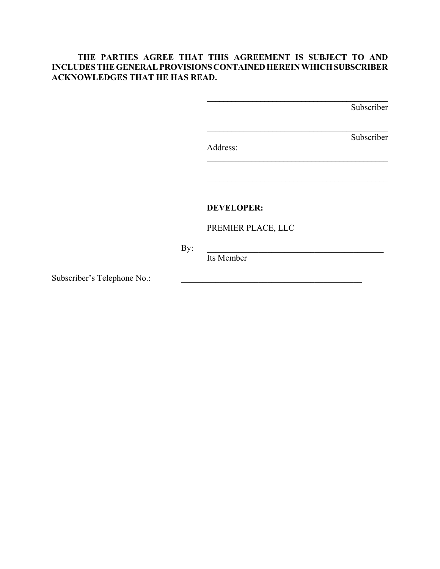# **THE PARTIES AGREE THAT THIS AGREEMENT IS SUBJECT TO AND INCLUDES THE GENERAL PROVISIONS CONTAINED HEREIN WHICH SUBSCRIBER ACKNOWLEDGES THAT HE HAS READ.**

**Subscriber** 

**Subscriber** 

Address:

**DEVELOPER:**

PREMIER PLACE, LLC

\_\_\_\_\_\_\_\_\_\_\_\_\_\_\_\_\_\_\_\_\_\_\_\_\_\_\_\_\_\_\_\_\_\_\_\_\_\_\_\_\_\_\_\_

\_\_\_\_\_\_\_\_\_\_\_\_\_\_\_\_\_\_\_\_\_\_\_\_\_\_\_\_\_\_\_\_\_\_\_\_\_\_\_\_\_\_\_\_

\_\_\_\_\_\_\_\_\_\_\_\_\_\_\_\_\_\_\_\_\_\_\_\_\_\_\_\_\_\_\_\_\_\_\_\_\_\_\_\_\_\_\_\_\_

\_\_\_\_\_\_\_\_\_\_\_\_\_\_\_\_\_\_\_\_\_\_\_\_\_\_\_\_\_\_\_\_\_\_\_\_\_\_\_\_\_\_\_\_

By: \_\_\_\_\_\_\_\_\_\_\_\_\_\_\_\_\_\_\_\_\_\_\_\_\_\_\_\_\_\_\_\_\_\_\_\_\_\_\_\_\_

Its Member

Subscriber's Telephone No.: